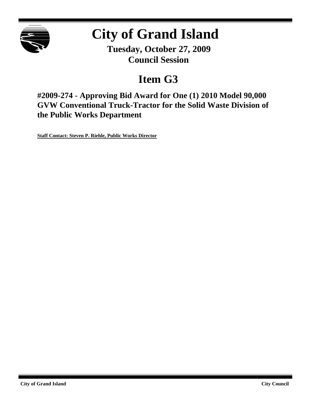

# **City of Grand Island**

**Tuesday, October 27, 2009 Council Session**

## **Item G3**

**#2009-274 - Approving Bid Award for One (1) 2010 Model 90,000 GVW Conventional Truck-Tractor for the Solid Waste Division of the Public Works Department**

**Staff Contact: Steven P. Riehle, Public Works Director**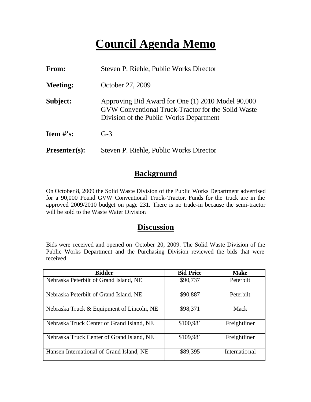## **Council Agenda Memo**

| <b>From:</b>    | Steven P. Riehle, Public Works Director                                                                                                            |
|-----------------|----------------------------------------------------------------------------------------------------------------------------------------------------|
| <b>Meeting:</b> | October 27, 2009                                                                                                                                   |
| Subject:        | Approving Bid Award for One (1) 2010 Model 90,000<br>GVW Conventional Truck-Tractor for the Solid Waste<br>Division of the Public Works Department |
| Item $\#$ 's:   | $G-3$                                                                                                                                              |
| $Presenter(s):$ | Steven P. Riehle, Public Works Director                                                                                                            |

#### **Background**

On October 8, 2009 the Solid Waste Division of the Public Works Department advertised for a 90,000 Pound GVW Conventional Truck-Tractor. Funds for the truck are in the approved 2009/2010 budget on page 231. There is no trade-in because the semi-tractor will be sold to the Waste Water Division.

#### **Discussion**

Bids were received and opened on October 20, 2009. The Solid Waste Division of the Public Works Department and the Purchasing Division reviewed the bids that were received.

| <b>Bidder</b>                             | <b>Bid Price</b> | Make          |
|-------------------------------------------|------------------|---------------|
| Nebraska Peterbilt of Grand Island, NE    | \$90,737         | Peterbilt     |
| Nebraska Peterbilt of Grand Island, NE    | \$90,887         | Peterbilt     |
| Nebraska Truck & Equipment of Lincoln, NE | \$98,371         | Mack          |
| Nebraska Truck Center of Grand Island, NE | \$100,981        | Freightliner  |
| Nebraska Truck Center of Grand Island, NE | \$109,981        | Freightliner  |
| Hansen International of Grand Island, NE  | \$89,395         | International |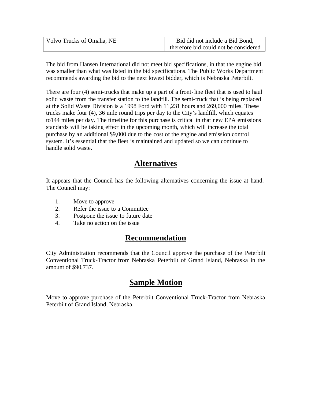| Volvo Trucks of Omaha, NE | Bid did not include a Bid Bond,       |  |  |
|---------------------------|---------------------------------------|--|--|
|                           | therefore bid could not be considered |  |  |

The bid from Hansen International did not meet bid specifications, in that the engine bid was smaller than what was listed in the bid specifications. The Public Works Department recommends awarding the bid to the next lowest bidder, which is Nebraska Peterbilt.

There are four (4) semi-trucks that make up a part of a front-line fleet that is used to haul solid waste from the transfer station to the landfill. The semi-truck that is being replaced at the Solid Waste Division is a 1998 Ford with 11,231 hours and 269,000 miles. These trucks make four (4), 36 mile round trips per day to the City's landfill, which equates to144 miles per day. The timeline for this purchase is critical in that new EPA emissions standards will be taking effect in the upcoming month, which will increase the total purchase by an additional \$9,000 due to the cost of the engine and emission control system. It's essential that the fleet is maintained and updated so we can continue to handle solid waste.

### **Alternatives**

It appears that the Council has the following alternatives concerning the issue at hand. The Council may:

- 1. Move to approve
- 2. Refer the issue to a Committee
- 3. Postpone the issue to future date
- 4. Take no action on the issue

## **Recommendation**

City Administration recommends that the Council approve the purchase of the Peterbilt Conventional Truck-Tractor from Nebraska Peterbilt of Grand Island, Nebraska in the amount of \$90,737.

## **Sample Motion**

Move to approve purchase of the Peterbilt Conventional Truck-Tractor from Nebraska Peterbilt of Grand Island, Nebraska.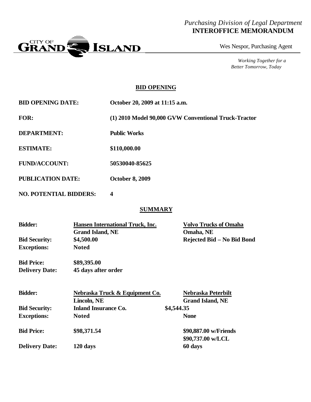#### *Purchasing Division of Legal Department* **INTEROFFICE MEMORANDUM**



Wes Nespor, Purchasing Agent

*Working Together for a Better Tomorrow, Today*

#### **BID OPENING**

| <b>BID OPENING DATE:</b> | October 20, 2009 at 11:15 a.m.                       |
|--------------------------|------------------------------------------------------|
| <b>FOR:</b>              | (1) 2010 Model 90,000 GVW Conventional Truck-Tractor |
| <b>DEPARTMENT:</b>       | <b>Public Works</b>                                  |
| <b>ESTIMATE:</b>         | \$110,000.00                                         |
| <b>FUND/ACCOUNT:</b>     | 50530040-85625                                       |
| <b>PUBLICATION DATE:</b> | <b>October 8, 2009</b>                               |

**NO. POTENTIAL BIDDERS: 4**

#### **SUMMARY**

| <b>Bidder:</b>        | <b>Hansen International Truck, Inc.</b><br><b>Grand Island, NE</b> | <b>Volvo Trucks of Omaha</b><br>Omaha, NE |
|-----------------------|--------------------------------------------------------------------|-------------------------------------------|
| <b>Bid Security:</b>  | \$4,500.00                                                         | Rejected Bid - No Bid Bond                |
| <b>Exceptions:</b>    | <b>Noted</b>                                                       |                                           |
| <b>Bid Price:</b>     | \$89,395.00                                                        |                                           |
| <b>Delivery Date:</b> | 45 days after order                                                |                                           |
| <b>Bidder:</b>        | Nebraska Truck & Equipment Co.                                     | Nebraska Peterbilt                        |
|                       | Lincoln, NE                                                        | <b>Grand Island, NE</b>                   |
| <b>Bid Security:</b>  | <b>Inland Insurance Co.</b>                                        | \$4,544.35                                |
| <b>Exceptions:</b>    | <b>Noted</b>                                                       | <b>None</b>                               |
| <b>Bid Price:</b>     | \$98,371.54                                                        | \$90,887.00 w/Friends                     |
|                       |                                                                    | \$90,737.00 w/LCL                         |

**Delivery Date: 120 days 60 days**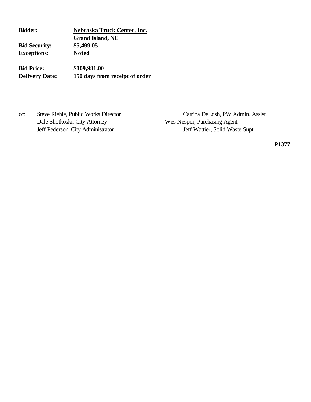**Bidder: Nebraska Truck Center, Inc. Grand Island, NE Bid Security: \$5,499.05 Exceptions: Noted**

**Bid Price: \$109,981.00 Delivery Date: 150 days from receipt of order**

Dale Shotkoski, City Attorney Wes Nespor, Purchasing Agent

cc: Steve Riehle, Public Works Director Catrina DeLosh, PW Admin. Assist. Jeff Pederson, City Administrator Jeff Wattier, Solid Waste Supt.

**P1377**